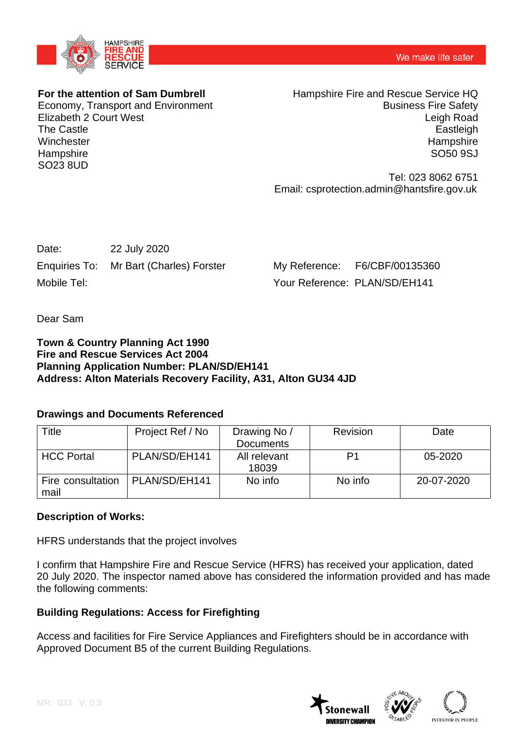

## **For the attention of Sam Dumbrell**

Economy, Transport and Environment Elizabeth 2 Court West The Castle **Winchester Hampshire** SO23 8UD

Hampshire Fire and Rescue Service HQ Business Fire Safety Leigh Road **Eastleigh Hampshire** SO50 9SJ

Tel: 023 8062 6751 Email: csprotection.admin@hantsfire.gov.uk

| Date:       | 22 July 2020                            |
|-------------|-----------------------------------------|
|             | Enquiries To: Mr Bart (Charles) Forster |
| Mobile Tel: |                                         |

My Reference: F6/CBF/00135360 Your Reference: PLAN/SD/EH141

Dear Sam

#### **Town & Country Planning Act 1990 Fire and Rescue Services Act 2004 Planning Application Number: PLAN/SD/EH141 Address: Alton Materials Recovery Facility, A31, Alton GU34 4JD**

## **Drawings and Documents Referenced**

| Title                     | Project Ref / No | Drawing No /          | Revision | Date       |
|---------------------------|------------------|-----------------------|----------|------------|
|                           |                  | <b>Documents</b>      |          |            |
| <b>HCC Portal</b>         | PLAN/SD/EH141    | All relevant<br>18039 | P1       | 05-2020    |
| Fire consultation<br>mail | PLAN/SD/EH141    | No info               | No info  | 20-07-2020 |

## **Description of Works:**

HFRS understands that the project involves

I confirm that Hampshire Fire and Rescue Service (HFRS) has received your application, dated 20 July 2020. The inspector named above has considered the information provided and has made the following comments:

## **Building Regulations: Access for Firefighting**

Access and facilities for Fire Service Appliances and Firefighters should be in accordance with Approved Document B5 of the current Building Regulations.

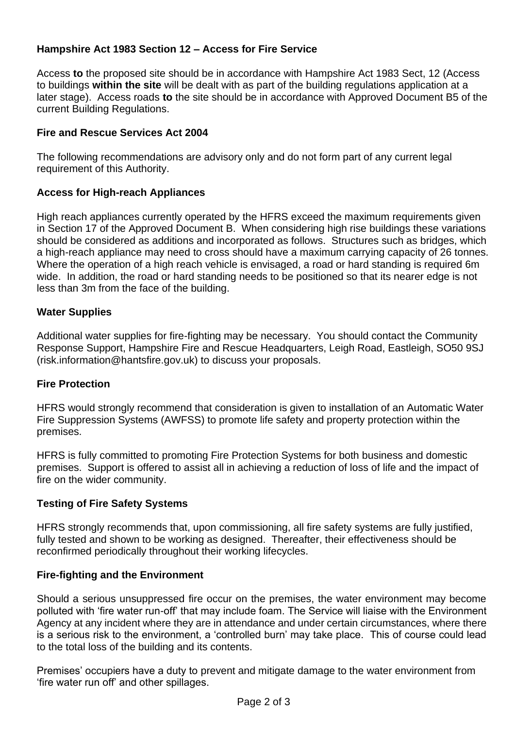# **Hampshire Act 1983 Section 12 – Access for Fire Service**

Access **to** the proposed site should be in accordance with Hampshire Act 1983 Sect, 12 (Access to buildings **within the site** will be dealt with as part of the building regulations application at a later stage). Access roads **to** the site should be in accordance with Approved Document B5 of the current Building Regulations.

## **Fire and Rescue Services Act 2004**

The following recommendations are advisory only and do not form part of any current legal requirement of this Authority.

## **Access for High-reach Appliances**

High reach appliances currently operated by the HFRS exceed the maximum requirements given in Section 17 of the Approved Document B. When considering high rise buildings these variations should be considered as additions and incorporated as follows. Structures such as bridges, which a high-reach appliance may need to cross should have a maximum carrying capacity of 26 tonnes. Where the operation of a high reach vehicle is envisaged, a road or hard standing is required 6m wide. In addition, the road or hard standing needs to be positioned so that its nearer edge is not less than 3m from the face of the building.

## **Water Supplies**

Additional water supplies for fire-fighting may be necessary. You should contact the Community Response Support, Hampshire Fire and Rescue Headquarters, Leigh Road, Eastleigh, SO50 9SJ (risk.information@hantsfire.gov.uk) to discuss your proposals.

## **Fire Protection**

HFRS would strongly recommend that consideration is given to installation of an Automatic Water Fire Suppression Systems (AWFSS) to promote life safety and property protection within the premises.

HFRS is fully committed to promoting Fire Protection Systems for both business and domestic premises. Support is offered to assist all in achieving a reduction of loss of life and the impact of fire on the wider community.

## **Testing of Fire Safety Systems**

HFRS strongly recommends that, upon commissioning, all fire safety systems are fully justified, fully tested and shown to be working as designed. Thereafter, their effectiveness should be reconfirmed periodically throughout their working lifecycles.

## **Fire-fighting and the Environment**

Should a serious unsuppressed fire occur on the premises, the water environment may become polluted with 'fire water run-off' that may include foam. The Service will liaise with the Environment Agency at any incident where they are in attendance and under certain circumstances, where there is a serious risk to the environment, a 'controlled burn' may take place. This of course could lead to the total loss of the building and its contents.

Premises' occupiers have a duty to prevent and mitigate damage to the water environment from 'fire water run off' and other spillages.